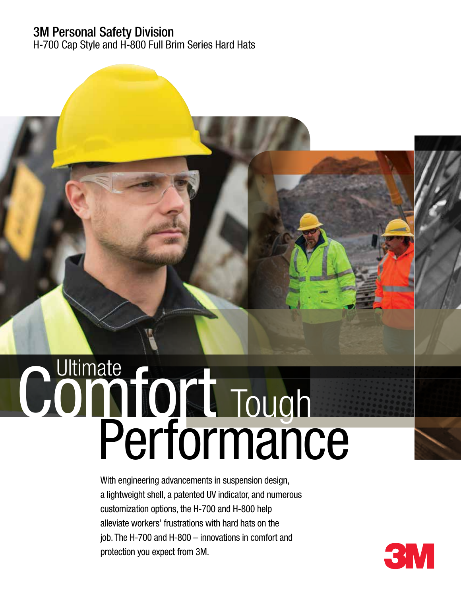## 3M Personal Safety Division

H-700 Cap Style and H-800 Full Brim Series Hard Hats

# Performance Comfort Tough

With engineering advancements in suspension design, a lightweight shell, a patented UV indicator, and numerous customization options, the H-700 and H-800 help alleviate workers' frustrations with hard hats on the job. The H-700 and H-800 – innovations in comfort and protection you expect from 3M.

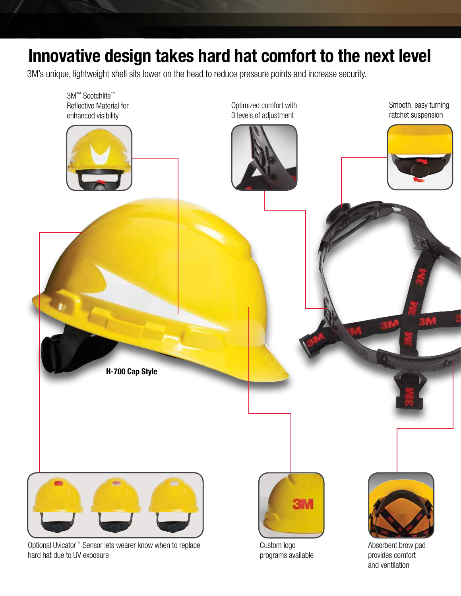## Innovative design takes hard hat comfort to the next level

3M's unique, lightweight shell sits lower on the head to reduce pressure points and increase security.



Optional Uvicator™ Sensor lets wearer know when to replace hard hat due to UV exposure

Custom logo programs available Absorbent brow pad provides comfort and ventilation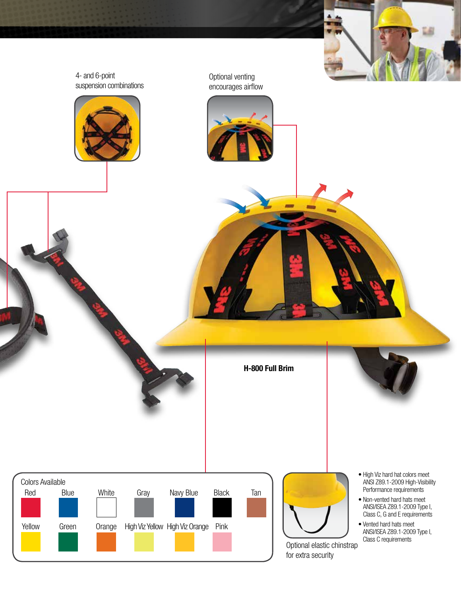